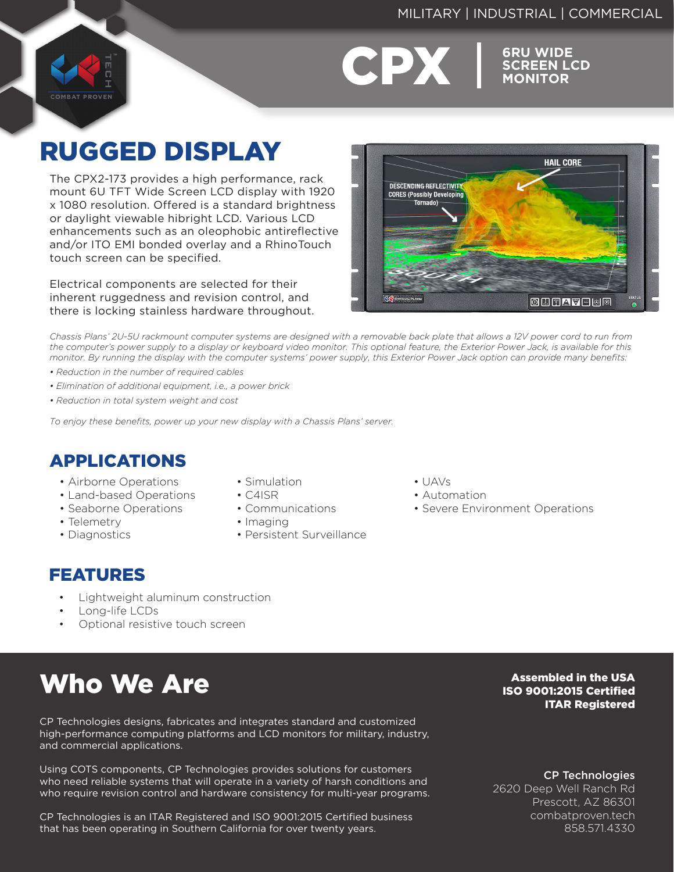#### MILITARY | INDUSTRIAL | COMMERCIAL





**SCREEN LCD MONITOR**

# RUGGED DISPLAY

The CPX2-173 provides a high performance, rack mount 6U TFT Wide Screen LCD display with 1920 x 1080 resolution. Offered is a standard brightness or daylight viewable hibright LCD. Various LCD enhancements such as an oleophobic antireflective and/or ITO EMI bonded overlay and a RhinoTouch touch screen can be specified.

Electrical components are selected for their inherent ruggedness and revision control, and there is locking stainless hardware throughout.



*Chassis Plans' 2U-5U rackmount computer systems are designed with a removable back plate that allows a 12V power cord to run from the computer's power supply to a display or keyboard video monitor. This optional feature, the Exterior Power Jack, is available for this monitor. By running the display with the computer systems' power supply, this Exterior Power Jack option can provide many benefits:*

- *Reduction in the number of required cables*
- *Elimination of additional equipment, i.e., a power brick*
- *Reduction in total system weight and cost*

*To enjoy these benefits, power up your new display with a Chassis Plans' server.*

# APPLICATIONS

- Airborne Operations
- Land-based Operations
- Seaborne Operations
- Telemetry
- Diagnostics
- Simulation

• Communications

• Persistent Surveillance

• C4ISR

• Imaging

- $\cdot$  UAVs
- Automation
- Severe Environment Operations

- FEATURES
	- Lightweight aluminum construction
	- Long-life LCDs
	- Optional resistive touch screen

# Who We Are

CP Technologies designs, fabricates and integrates standard and customized high-performance computing platforms and LCD monitors for military, industry, and commercial applications.

Using COTS components, CP Technologies provides solutions for customers who need reliable systems that will operate in a variety of harsh conditions and who require revision control and hardware consistency for multi-year programs.

CP Technologies is an ITAR Registered and ISO 9001:2015 Certified business that has been operating in Southern California for over twenty years.

Assembled in the USA ISO 9001:2015 Certified ITAR Registered

CP Technologies

2620 Deep Well Ranch Rd Prescott, AZ 86301 combatproven.tech 858.571.4330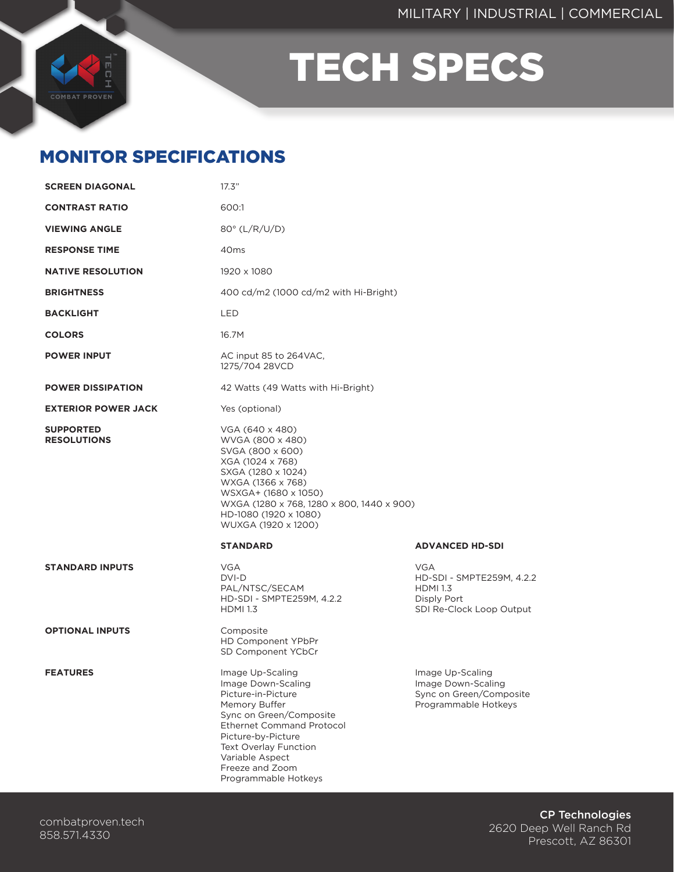

# TECH SPECS

## MONITOR SPECIFICATIONS

| <b>SCREEN DIAGONAL</b>                 | 17.3"                                                                                                                                                                                                                                              |                                                                                                       |
|----------------------------------------|----------------------------------------------------------------------------------------------------------------------------------------------------------------------------------------------------------------------------------------------------|-------------------------------------------------------------------------------------------------------|
| <b>CONTRAST RATIO</b>                  | 600:1                                                                                                                                                                                                                                              |                                                                                                       |
| <b>VIEWING ANGLE</b>                   | 80° (L/R/U/D)                                                                                                                                                                                                                                      |                                                                                                       |
| <b>RESPONSE TIME</b>                   | 40 <sub>ms</sub>                                                                                                                                                                                                                                   |                                                                                                       |
| <b>NATIVE RESOLUTION</b>               | 1920 x 1080                                                                                                                                                                                                                                        |                                                                                                       |
| <b>BRIGHTNESS</b>                      | 400 cd/m2 (1000 cd/m2 with Hi-Bright)                                                                                                                                                                                                              |                                                                                                       |
| <b>BACKLIGHT</b>                       | <b>LED</b>                                                                                                                                                                                                                                         |                                                                                                       |
| <b>COLORS</b>                          | 16.7M                                                                                                                                                                                                                                              |                                                                                                       |
| <b>POWER INPUT</b>                     | AC input 85 to 264VAC,<br>1275/704 28VCD                                                                                                                                                                                                           |                                                                                                       |
| <b>POWER DISSIPATION</b>               | 42 Watts (49 Watts with Hi-Bright)                                                                                                                                                                                                                 |                                                                                                       |
| <b>EXTERIOR POWER JACK</b>             | Yes (optional)                                                                                                                                                                                                                                     |                                                                                                       |
| <b>SUPPORTED</b><br><b>RESOLUTIONS</b> | VGA (640 x 480)<br>WVGA (800 x 480)<br>SVGA (800 x 600)<br>XGA (1024 x 768)<br>SXGA (1280 x 1024)<br>WXGA (1366 x 768)<br>WSXGA+ (1680 x 1050)<br>WXGA (1280 x 768, 1280 x 800, 1440 x 900)<br>HD-1080 (1920 x 1080)<br>WUXGA (1920 x 1200)        |                                                                                                       |
|                                        | <b>STANDARD</b>                                                                                                                                                                                                                                    | <b>ADVANCED HD-SDI</b>                                                                                |
| <b>STANDARD INPUTS</b>                 | <b>VGA</b><br>DVI-D<br>PAL/NTSC/SECAM<br>HD-SDI - SMPTE259M, 4.2.2<br><b>HDMI 1.3</b>                                                                                                                                                              | <b>VGA</b><br>HD-SDI - SMPTE259M, 4.2.2<br><b>HDMI 1.3</b><br>Disply Port<br>SDI Re-Clock Loop Output |
| <b>OPTIONAL INPUTS</b>                 | Composite<br>HD Component YPbPr<br>SD Component YCbCr                                                                                                                                                                                              |                                                                                                       |
| <b>FEATURES</b>                        | Image Up-Scaling<br>Image Down-Scaling<br>Picture-in-Picture<br>Memory Buffer<br>Sync on Green/Composite<br>Ethernet Command Protocol<br>Picture-by-Picture<br>Text Overlay Function<br>Variable Aspect<br>Freeze and Zoom<br>Programmable Hotkeys | Image Up-Scaling<br>Image Down-Scaling<br>Sync on Green/Composite<br>Programmable Hotkeys             |

CP Technologies 2620 Deep Well Ranch Rd Prescott, AZ 86301